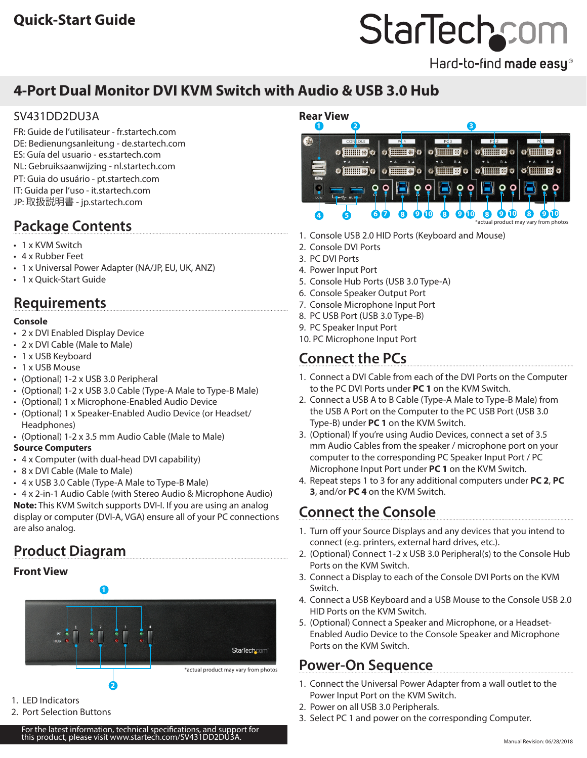# StarTechcom

Hard-to-find made easy®

# **4-Port Dual Monitor DVI KVM Switch with Audio & USB 3.0 Hub**

## SV431DD2DU3A

FR: Guide de l'utilisateur - fr.startech.com DE: Bedienungsanleitung - de.startech.com ES: Guía del usuario - es.startech.com NL: Gebruiksaanwijzing - nl.startech.com PT: Guia do usuário - pt.startech.com IT: Guida per l'uso - it.startech.com JP: 取扱説明書 - jp.startech.com

# **Package Contents**

- 1 x KVM Switch
- 4 x Rubber Feet
- 1 x Universal Power Adapter (NA/JP, EU, UK, ANZ)
- 1 x Quick-Start Guide

## **Requirements**

## **Console**

- 2 x DVI Enabled Display Device
- 2 x DVI Cable (Male to Male)
- 1 x USB Keyboard
- 1 x USB Mouse
- (Optional) 1-2 x USB 3.0 Peripheral
- (Optional) 1-2 x USB 3.0 Cable (Type-A Male to Type-B Male)
- (Optional) 1 x Microphone-Enabled Audio Device
- (Optional) 1 x Speaker-Enabled Audio Device (or Headset/ Headphones)
- (Optional) 1-2 x 3.5 mm Audio Cable (Male to Male)

## **Source Computers**

- 4 x Computer (with dual-head DVI capability)
- 8 x DVI Cable (Male to Male)
- 4 x USB 3.0 Cable (Type-A Male to Type-B Male)

• 4 x 2-in-1 Audio Cable (with Stereo Audio & Microphone Audio) **Note:** This KVM Switch supports DVI-I. If you are using an analog display or computer (DVI-A, VGA) ensure all of your PC connections are also analog.

# **Product Diagram**

## **Front View**



- 1. LED Indicators
- 2. Port Selection Buttons

For the latest information, technical specifications this product, please visit www.startech.com/SV431DD2DU3A.



- 1. Console USB 2.0 HID Ports (Keyboard and Mouse)
- 2. Console DVI Ports
- 3. PC DVI Ports
- 4. Power Input Port
- 5. Console Hub Ports (USB 3.0 Type-A)
- 6. Console Speaker Output Port
- 7. Console Microphone Input Port
- 8. PC USB Port (USB 3.0 Type-B)
- 9. PC Speaker Input Port
- 10. PC Microphone Input Port

# **Connect the PCs**

- 1. Connect a DVI Cable from each of the DVI Ports on the Computer to the PC DVI Ports under **PC 1** on the KVM Switch.
- 2. Connect a USB A to B Cable (Type-A Male to Type-B Male) from the USB A Port on the Computer to the PC USB Port (USB 3.0 Type-B) under **PC 1** on the KVM Switch.
- 3. (Optional) If you're using Audio Devices, connect a set of 3.5 mm Audio Cables from the speaker / microphone port on your computer to the corresponding PC Speaker Input Port / PC Microphone Input Port under **PC 1** on the KVM Switch.
- 4. Repeat steps 1 to 3 for any additional computers under **PC 2**, **PC 3**, and/or **PC 4** on the KVM Switch.

## **Connect the Console**

- 1. Turn off your Source Displays and any devices that you intend to connect (e.g. printers, external hard drives, etc.).
- 2. (Optional) Connect 1-2 x USB 3.0 Peripheral(s) to the Console Hub Ports on the KVM Switch.
- 3. Connect a Display to each of the Console DVI Ports on the KVM Switch.
- 4. Connect a USB Keyboard and a USB Mouse to the Console USB 2.0 HID Ports on the KVM Switch.
- 5. (Optional) Connect a Speaker and Microphone, or a Headset-Enabled Audio Device to the Console Speaker and Microphone Ports on the KVM Switch.

## **Power-On Sequence**

- 1. Connect the Universal Power Adapter from a wall outlet to the Power Input Port on the KVM Switch.
- 2. Power on all USB 3.0 Peripherals.
- 3. Select PC 1 and power on the corresponding Computer.